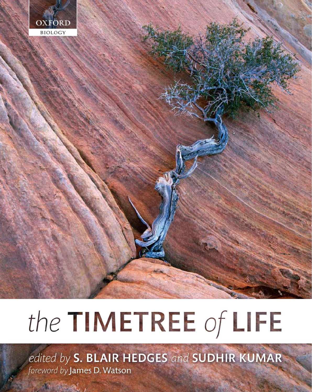

# the TIMETREE of LIFE

edited by S. BLAIR HEDGES and SUDHIR KUMAR foreword by James D. Watson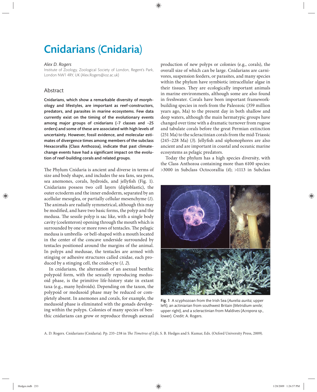## Cnidarians (Cnidaria)

#### *Alex D. Rogers*

Institute of Zoology, Zoological Society of London, Regent's Park, London NW1 4RY, UK (Alex.Rogers@ioz.ac.uk)

### Abstract

Cnidarians, which show a remarkable diversity of morphology and lifestyles, are important as reef-constructors, predators, and parasites in marine ecosystems. Few data currently exist on the timing of the evolutionary events among major groups of cnidarians  $(\sim 7$  classes and  $\sim 25$ orders) and some of these are associated with high levels of uncertainty. However, fossil evidence, and molecular estimates of divergence times among members of the subclass Hexacorallia (Class Anthozoa), indicate that past climatechange events have had a significant impact on the evolution of reef-building corals and related groups.

The Phylum Cnidaria is ancient and diverse in terms of size and body shape, and includes the sea fans, sea pens, sea anemones, corals, hydroids, and jellyfish (Fig. 1). Cnidarians possess two cell layers (diploblastic), the outer ectoderm and the inner endoderm, separated by an acellular mesoglea, or partially cellular mesenchyme (*1*). The animals are radially symmetrical, although this may be modified, and have two basic forms, the polyp and the medusa. The sessile polyp is sac like, with a single body cavity (coelenteron) opening through the mouth which is surrounded by one or more rows of tentacles. The pelagic medusa is umbrella- or bell-shaped with a mouth located in the center of the concave underside surrounded by tentacles positioned around the margins of the animal. In polyps and medusae, the tentacles are armed with stinging or adhesive structures called cnidae, each produced by a stinging cell, the cnidocyte (*1, 2*).

In cnidarians, the alternation of an asexual benthic polypoid form, with the sexually reproducing medusoid phase, is the primitive life-history state in extant taxa (e.g., many hydroids). Depending on the taxon, the polypoid or medusoid phase may be reduced or completely absent. In anemones and corals, for example, the medusoid phase is eliminated with the gonads developing within the polyps. Colonies of many species of benthic cnidarians can grow or reproduce through asexual

production of new polyps or colonies (e.g., corals), the overall size of which can be large. Cnidarians are carnivores, suspension feeders, or parasites, and many species within the phylum have symbiotic intracellular algae in their tissues. They are ecologically important animals in marine environments, although some are also found in freshwater. Corals have been important frameworkbuilding species in reefs from the Paleozoic (359 million years ago, Ma) to the present day in both shallow and deep waters, although the main hermatypic groups have changed over time with a dramatic turnover from rugose and tabulate corals before the great Permian extinction (251 Ma) to the scleractinian corals from the mid- Triassic  $(245-228 \text{ Ma})$   $(3)$ . Jellyfish and siphonophores are also ancient and are important in coastal and oceanic marine ecosystems as pelagic predators.

Today the phylum has a high species diversity, with the Class Anthozoa containing more than 6100 species: >3000 in Subclass Octocorallia (4); >1113 in Subclass



Fig. 1 A scyphozoan from the Irish Sea (*Aurelia aurita*; upper left), an actiniarian from southwest Britain (*Metridium senile*; upper right), and a scleractinian from Maldives (*Acropora* sp., lower). Credit: A. Rogers.

A. D. Rogers. Cnidarians (Cnidaria). Pp. 233-238 in *The Timetree of Life*, S. B. Hedges and S. Kumar, Eds. (Oxford University Press, 2009).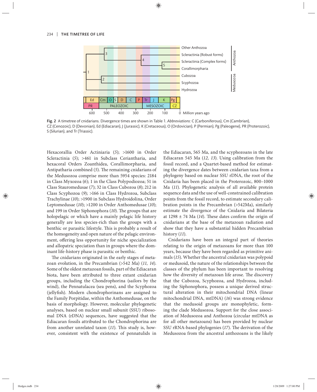

Fig. 2 A timetree of cnidarians. Divergence times are shown in Table 1. *Abbreviations*: C (Carboniferous), Cm (Cambrian), CZ (Cenozoic), D (Devonian), Ed (Ediacaran), J (Jurassic), K (Cretaceous), O (Ordovician), P (Permian), Pg (Paleogene), PR (Proterozoic), S (Silurian), and Tr (Triassic).

Hexacorallia Order Actiniaria (*5*); >1600 in Order Scleractinia (5); >461 in Subclass Ceriantharia, and hexacoral Orders Zoanthidea, Corallimorpharia, and Antipatharia combined (5). The remaining cnidarians of the Medusozoa comprise more than 5954 species: 2184 in Class Myxozoa (*6*); 1 in the Class Polypodiozoa; 51 in Class Stauromedusae (*7*); 32 in Class Cubozoa (*8*); 212 in Class Scyphozoa (9); >166 in Class Hydrozoa, Subclass Trachylinae (*10*); >1900 in Subclass Hydroidolina, Order Leptomedusae (*10*); >1200 in Order Anthomedusae (*10*); and 199 in Order Siphonophora (10). The groups that are holopelagic or which have a mainly pelagic life history generally are less species-rich than the groups with a benthic or parasitic lifestyle. This is probably a result of the homogeneity and open nature of the pelagic environment, offering less opportunity for niche specialization and allopatric speciation than in groups where the dominant life-history phase is parasitic or benthic.

The cnidarians originated in the early stages of metazoan evolution, in the Precambrian (>542 Ma) (*11, 14*). Some of the oldest metazoan fossils, part of the Ediacaran biota, have been attributed to three extant cnidarian groups, including the Chondrophorina (sailors by the wind), the Pennatulacea (sea pens), and the Scyphozoa (jellyfish). Modern chondrophorinans are assigned to the Family Porpitidae, within the Anthomedusae, on the basis of morphology. However, molecular phylogenetic analyses, based on nuclear small subunit (SSU) ribosomal DNA (rDNA) sequences, have suggested that the Ediacaran fossils attributed to the Chondrophorina are from another unrelated taxon (11). This study is, however, consistent with the existence of pennatulids in the Ediacaran, 565 Ma, and the scyphozoans in the late Ediacaran 545 Ma (*12, 13*). Using calibration from the fossil record, and a Quartet-based method for estimating the divergence dates between cnidarian taxa from a phylogeny based on nuclear SSU rDNA, the root of the Cnidaria has been placed in the Proterozoic, 800–1000 Ma (*11*). Phylogenetic analysis of all available protein sequence data and the use of well-constrained calibration points from the fossil record, to estimate secondary calibration points in the Precambrian (>542Ma), similarly estimate the divergence of the Cnidaria and Bilateria at 1298  $\pm$  74 Ma (14). These dates confirm the origin of cnidarians at the base of the metazoan radiation and show that they have a substantial hidden Precambrian history (*11*).

Cnidarians have been an integral part of theories relating to the origin of metazoans for more than 100 years, because they have been regarded as primitive animals (*15*). Whether the ancestral cnidarian was polypoid or medusoid, the nature of the relationships between the classes of the phylum has been important to resolving how the diversity of metazoan life arose. The discovery that the Cubozoa, Scyphozoa, and Hydrozoa, including the Siphonophora, possess a unique derived structural alteration in their mitochondrial DNA (linear mitochondrial DNA, mtDNA) (*16*) was strong evidence that the medusoid groups are monophyletic, forming the clade Medusozoa. Support for the close association of Medusozoa and Anthozoa (circular mtDNA as for all other metazoans) has been provided by nuclear SSU rRNA-based phylogenies (17). The derivation of the Medusozoa from the ancestral anthozoans is the likely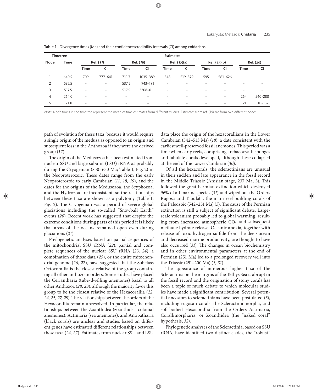| <b>Timetree</b> |             | <b>Estimates</b>         |                   |             |                          |              |                          |                          |                          |             |         |
|-----------------|-------------|--------------------------|-------------------|-------------|--------------------------|--------------|--------------------------|--------------------------|--------------------------|-------------|---------|
| Node            | <b>Time</b> | Ref. (11)                |                   | Ref. (18)   |                          | Ref. (19)(a) |                          | Ref. (19)(b)             |                          | Ref. (26)   |         |
|                 |             | <b>Time</b>              | <b>CI</b>         | <b>Time</b> | <b>CI</b>                | <b>Time</b>  | <b>CI</b>                | <b>Time</b>              | <b>CI</b>                | <b>Time</b> | CI      |
|                 | 640.9       | 709                      | 777-641           | 711.7       | 1035-389                 | 548          | 519-579                  | 595                      | $561 - 626$              | -           |         |
| 2               | 537.5       | $\overline{\phantom{0}}$ | $\qquad \qquad -$ | 537.5       | 943-191                  |              |                          |                          |                          |             |         |
| 3               | 517.5       | $\overline{\phantom{0}}$ | $\qquad \qquad -$ | 517.5       | 2308-0                   |              | $\overline{\phantom{0}}$ | $\overline{\phantom{0}}$ |                          |             |         |
| 4               | 264.0       | $\overline{\phantom{0}}$ | -                 | -           | $\qquad \qquad =$        |              | -                        | -                        | $\overline{\phantom{0}}$ | 264         | 240-288 |
|                 | 121.0       | $-$                      | -                 | -           | $\overline{\phantom{0}}$ |              |                          |                          | $\overline{\phantom{0}}$ | 121         | 110-132 |

Table 1. Divergence times (Ma) and their confidence/credibility intervals (CI) among cnidarians.

Note: Node times in the timetree represent the mean of time estimates from different studies. Estimates from ref. (19) are from two different nodes.

path of evolution for these taxa, because it would require a single origin of the medusa as opposed to an origin and subsequent loss in the Anthozoa if they were the derived group (*17*).

The origin of the Medusozoa has been estimated from nuclear SSU and large subunit (LSU) rRNA as probably during the Cryogenian (850–630 Ma; Table 1, Fig. 2) in the Neoproterozoic. These dates range from the early Neoproterozoic to early Cambrian (*11, 18, 19*), and the dates for the origins of the Medusozoa, the Scyphozoa, and the Hydrozoa are inconsistent, so the relationships between these taxa are shown as a polytomy (Table 1, Fig. 2). The Cryogenian was a period of severe global glaciations including the so-called "Snowball Earth" events (*20*). Recent work has suggested that despite the extreme conditions during parts of this period it is likely that areas of the oceans remained open even during glaciations (*21*).

Phylogenetic analyses based on partial sequences of the mitochondrial SSU rRNA (*22*), partial and complete sequences of the nuclear SSU rRNA (*23, 24*), a combination of those data (*25*), or the entire mitochondrial genome (*26, 27*), have suggested that the Subclass Octocorallia is the closest relative of the group containing all other anthozoan orders. Some studies have placed the Ceriantharia (tube-dwelling anemones) basal to all other Anthozoa (*28, 23*), although the majority favor this group to be the closest relative of the Hexacorallia (*22,*  24, 25, 27, 29). The relationships between the orders of the Hexacorallia remain unresolved. In particular, the relationships between the Zoanthidea (zoanthids—colonial anemones), Actiniaria (sea anemones), and Antipatharia (black corals) are unclear and studies based on different genes have estimated different relationships between these taxa (*24, 27*). Estimates from nuclear SSU and LSU data place the origin of the hexacorallians in the Lower Cambrian (542–513 Ma) (*18*), a date consistent with the earliest well-preserved fossil anemones. This period was a time when early reefs, comprising archaeocyath sponges and tabulate corals developed, although these collapsed at the end of the Lower Cambrian (*30*).

Of all the hexacorals, the scleractinians are unusual in their sudden and late appearance in the fossil record in the Middle Triassic (Anisian stage, 237 Ma, 3). This followed the great Permian extinction which destroyed 96% of all marine species (*31*) and wiped out the Orders Rugosa and Tabulata, the main reef-building corals of the Paleozoic (542–251 Ma) (3). The cause of the Permian extinction is still a subject of significant debate. Largescale volcanism probably led to global warming, resulting from increased atmospheric  $CO<sub>2</sub>$  and subsequent methane hydrate release. Oceanic anoxia, together with release of toxic hydrogen sulfide from the deep ocean and decreased marine productivity, are thought to have also occurred (31). The changes in ocean biochemistry and in other environmental parameters at the end of Permian (251 Ma) led to a prolonged recovery well into the Triassic (251–200 Ma) (*3, 31*).

The appearance of numerous higher taxa of the Scleractinia on the margins of the Tethys Sea is abrupt in the fossil record and the origination of stony corals has been a topic of much debate to which molecular studies have made a significant contribution. Several potential ancestors to scleractinians have been postulated (*3*), including rugosan corals, the Scleractiniomorpha, and soft-bodied Hexacorallia from the Orders Actiniaria, Corallimorpharia, or Zoanthidea (the "naked coral" hypothesis, *32*).

Phylogenetic analyses of the Scleractinia, based on SSU rRNA, have identified two distinct clades, the "robust"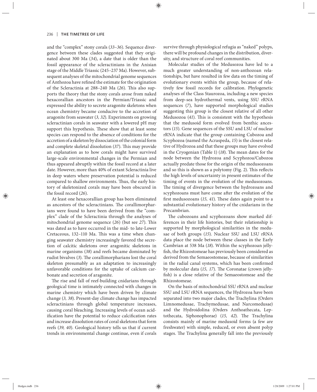and the "complex" stony corals (*33–36*). Sequence divergence between these clades suggested that they originated about 300 Ma (*34*), a date that is older than the fossil appearance of the scleractinians in the Anisian stage of the Middle Triassic (245–237 Ma). However, subsequent analyses of the mitochondrial genome sequences of Anthozoa have refined the estimate for the origination of the Scleractinia at 288–240 Ma (26). This also supports the theory that the stony corals arose from naked hexacorallian ancestors in the Permian/Triassic and expressed the ability to secrete aragonite skeletons when ocean chemistry became conducive to the accretion of aragonite from seawater (*3, 32*). Experiments on growing scleractinian corals in seawater with a lowered pH may support this hypothesis. These show that at least some species can respond to the absence of conditions for the accretion of a skeleton by dissociation of the colonial form and complete skeletal dissolution (37). This may provide an explanation as to how corals might have survived large-scale environmental changes in the Permian and thus appeared abruptly within the fossil record at a later date. However, more than 40% of extant Scleractinia live in deep waters where preservation potential is reduced compared to shallow environments. Thus, the early history of skeletonized corals may have been obscured in the fossil record (*26*).

At least one hexacorallian group has been eliminated as ancestors of the scleractinians. The corallimorpharians were found to have been derived from the "complex" clade of the Scleractinia through the analyses of mitochondrial genome sequence (26) (but see 27). This was dated as to have occurred in the mid- to late-Lower Cretaceous, 132-110 Ma. This was a time when changing seawater chemistry increasingly favored the secretion of calcitic skeletons over aragonitic skeletons in marine organisms (*38*) and reefs became dominated by rudist bivalves (3). The corallimorpharians lost the coral skeleton presumably as an adaptation to increasingly unfavorable conditions for the uptake of calcium carbonate and secretion of aragonite.

The rise and fall of reef-building cnidarians through geological time is intimately connected with changes in marine chemistry which have been driven by climate change (*3, 38*). Present-day climate change has impacted scleractinians through global temperature increases, causing coral bleaching. Increasing levels of ocean acidification have the potential to reduce calcification rates and increase dissolution rates of coral skeletons that form reefs (*39, 40*). Geological history tells us that if current trends in environmental change continue, even if corals survive through physiological refugia as "naked" polyps, there will be profound changes in the distribution, diversity, and structure of coral reef communities.

Molecular studies of the Medusozoa have led to a much greater understanding of non-anthozoan relationships, but have resulted in few data on the timing of evolutionary events within the group, because of relatively few fossil records for calibration. Phylogenetic analyses of the Class Staurozoa, including a new species from deep-sea hydrothermal vents, using SSU rRNA sequences (*7*), have supported morphological studies suggesting this group is the closest relative of all other Medusozoa (41). This is consistent with the hypothesis that the medusoid form evolved from benthic ancestors (*15*). Gene sequences of the SSU and LSU of nuclear rRNA indicate that the group containing Cubozoa and Scyphozoa (named the Acraspeda, *15*) is the closest relative of Hydrozoa and that these groups may have evolved in the Cryogenian (Table 1) (18). The mean dates for the node between the Hydrozoa and Scyphozoa/Cubozoa actually predate those for the origin of the medusozoans and so this is shown as a polytomy (Fig. 2). This reflects the high levels of uncertainty in present estimates of the timing of events in the evolution of the medusozoans. The timing of divergence between the hydrozoans and scyphozoans must have come after the evolution of the first medusozoans (15, 41). These dates again point to a substantial evolutionary history of the cnidarians in the Precambrian.

The cubozoans and scyphozoans show marked differences in their life histories, but their relationship is supported by morphological similarities in the medusae of both groups (*15*). Nuclear SSU and LSU rRNA data place the node between these classes in the Early Cambrian at 538 Ma (*18*). Within the scyphozoan jellyfish, the Rhizostomeae has previously been considered as derived from the Semaeostomeae, because of similarities in the radial canal systems, which has been confirmed by molecular data (15, 17). The Coronatae (crown jellyfish) is a close relative of the Semaeostomeae and the Rhizostomeae.

On the basis of mitochondrial SSU rRNA and nuclear SSU and LSU rRNA sequences, the Hydrozoa have been separated into two major clades, the Trachylina (Orders Limnomedusae, Trachymedusae, and Narcomedusae) and the Hydroidolina (Orders Anthoathecata, Leptothecata, Siphonophorae) (15, 42). The Trachylina consists mainly of marine medusoid forms (a few are freshwater) with simple, reduced, or even absent polyp stages. The Trachylina generally fall into the previously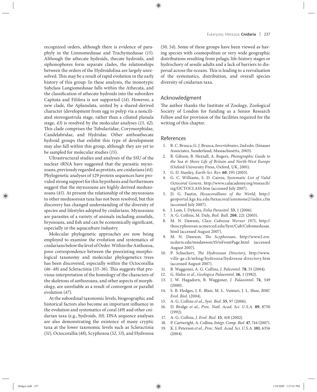recognized orders, although there is evidence of paraphyly in the Limnomedusae and Trachymedusae (*15*). Although the athecate hydroids, thecate hydroids, and siphonophores form separate clades, the relationships between the orders of the Hydroidolina are largely unresolved. This may be a result of rapid evolution in the early history of this group. In these analyses, the monotypic Subclass Langiomedusae falls within the Athecata, and the classification of athecate hydroids into the suborders Capitata and Filifera is not supported (*14*). However, a new clade, the Aplanulata, united by a shared-derived character (development from egg to polyp via a nonciliated stereogastrula stage, rather than a ciliated planula stage, *43*) is resolved by the molecular analyses (*15, 42*). This clade comprises the Tubulariidae, Corymorphidae, Candelabridae, and Hydridae. Other anthoathecate hydroid groups that exhibit this type of development may also fall within this group, although they are yet to be sampled for molecular studies (*15*).

Ultrastructural studies and analyses of the SSU of the nuclear rRNA have suggested that the parasitic myxozoans, previously regarded as protists, are cnidarians (*44*). Phylogenetic analyses of 129 protein sequences have provided strong support for this hypothesis and furthermore suggest that the myxozoans are highly derived medusozoans (*45*). At present the relationship of the myxozoans to other medusozoan taxa has not been resolved, but this discovery has changed understanding of the diversity of species and lifestyles adopted by cnidarians. Myxozoans are parasites of a variety of animals including annelids, bryozoans, and fish and can be economically significant, especially in the aquaculture industry.

Molecular phylogenetic approaches are now being employed to examine the evolution and systematics of cnidarians below the level of Order. Within the Anthozoa, poor correspondence between the preexisting morphological taxonomy and molecular phylogenetics trees has been discovered, especially within the Octocorallia (46-48) and Scleractinia (33-36). This suggests that previous interpretation of the homology of the characters of the skeletons of anthozoans, and other aspects of morphology, are unreliable as a result of convergent or parallel evolution (*47*).

At the subordinal taxonomic levels, biogeographic and historical factors also become an important influence in the evolution and systematics of coral (*49*) and other cnidarian taxa (e.g., hydroids, *50*). DNA sequence analyses are also demonstrating the existence of many cryptic taxa at the lower taxonomic levels such as Scleractinia (*51*), Octocorallia (*48*), Scyphozoa (*52, 53*), and Hydrozoa

(*50, 54*). Some of these groups have been viewed as having species with cosmopolitan or very wide geographic distributions resulting from pelagic life-history stages or hydrochory of sessile adults and a lack of barriers to dispersal across the oceans. This is leading to a reevaluation of the systematics, distribution, and overall species diversity of cnidarian taxa.

### Acknowledgment

The author thanks the Institute of Zoology, Zoological Society of London for funding as a Senior Research Fellow and for provision of the facilities required for the writing of this chapter.

#### References

- 1. R. C. Brusca, G. J. Brusca, *Invertebrates*, 2nd edn. (Sinauer Associates, Sunderland, Massachusetts, 2003).
- 2. R. Gibson, B. Hextall, A. Rogers, *Photographic Guide to the Sea & Shore Life of Britain and North-West Europe* (Oxford University Press, Oxford, UK, 2001).
- 3. G. D. Stanley, *Earth-Sci. Rev.* **60**, 195 (2003).
- 4. G. C. Williams, S. D. Cairns, *Systematic List of Valid Octocoral Genera*, http://www.calacademy.org/research/ izg/OCTOCLASS.htm (accessed July 2007).
- 5. D. G. Fautin, *Hexacorallians of the World*, http:// geoportal.kgs.ku.edu/hexacoral/anemone2/index.cfm (accessed July 2007).
- 6. J. Lom, I. Dykova, *Folia Parasitol.* **53**, 1 (2006).
- 7. A. G. Collins, M. Daly, *Biol. Bull.* **208**, 221 (2005).
- 8. M. N. Dawson, *Class Cubozoa Werner 1975*, http:// thescyphozoan.ucmerced.edu/Syst/Cub/Cubomedusae. html (accessed August 2007).
- 9. M. N. Dawson, *The Scyphozoan*, http://www2.eve. ucdavis.edu/mndawson/tS/tsFrontPage.html (accessed August 2007).
- 10. P. Schuchert, *The Hydrozoan Directory*, http://www. ville-ge.ch/mhng/hydrozoa/hydrozoa-directory.htm (accessed August 2007).
- 11. B. Waggoner, A. G. Collins, *J. Paleontol.* **78**, 51 (2004).
- 12. G. Hahn *et al.*, *Geologica Palaeontol.* **16**, 1 (1982).
- 13. J. W. Hagadorn, B. Waggoner, *J. Palaeontol.* **74**, 349 (2000).
- 14. S. B. Hedges, J. E. Blair, M. L. Venturi, J. L. Shoe, *BMC Evol. Biol.* (2004).
- 15. A. G. Collins *et al.*, *Syst. Biol.* **55**, 97 (2006).
- 16. D. Bridge *et al.*, *Proc. Natl. Acad. Sci. U.S.A.* **89**, 8750 (1992).
- 17. A. G. Collins, *J. Evol. Biol.* **15**, 418 (2002).
- 18. P. Cartwright, A. Collins, *Integr. Comp. Biol*. **47**, 744 (2007).
- 19. K. J. Peterson *et al.*, *Proc. Natl. Acad. Sci. U.S.A.* **101**, 6356 (2004).